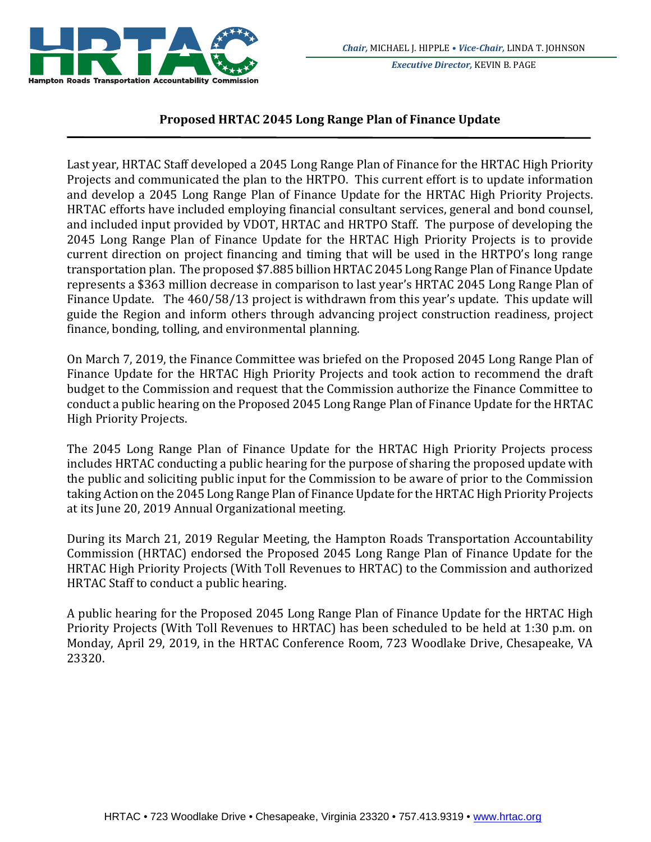

*Executive Director,* KEVIN B. PAGE

## **Proposed HRTAC 2045 Long Range Plan of Finance Update**

Last year, HRTAC Staff developed a 2045 Long Range Plan of Finance for the HRTAC High Priority Projects and communicated the plan to the HRTPO. This current effort is to update information and develop a 2045 Long Range Plan of Finance Update for the HRTAC High Priority Projects. HRTAC efforts have included employing financial consultant services, general and bond counsel, and included input provided by VDOT, HRTAC and HRTPO Staff. The purpose of developing the 2045 Long Range Plan of Finance Update for the HRTAC High Priority Projects is to provide current direction on project financing and timing that will be used in the HRTPO's long range transportation plan. The proposed \$7.885 billion HRTAC 2045 Long Range Plan of Finance Update represents a \$363 million decrease in comparison to last year's HRTAC 2045 Long Range Plan of Finance Update. The 460/58/13 project is withdrawn from this year's update. This update will guide the Region and inform others through advancing project construction readiness, project finance, bonding, tolling, and environmental planning.

On March 7, 2019, the Finance Committee was briefed on the Proposed 2045 Long Range Plan of Finance Update for the HRTAC High Priority Projects and took action to recommend the draft budget to the Commission and request that the Commission authorize the Finance Committee to conduct a public hearing on the Proposed 2045 Long Range Plan of Finance Update for the HRTAC High Priority Projects. 

The 2045 Long Range Plan of Finance Update for the HRTAC High Priority Projects process includes HRTAC conducting a public hearing for the purpose of sharing the proposed update with the public and soliciting public input for the Commission to be aware of prior to the Commission taking Action on the 2045 Long Range Plan of Finance Update for the HRTAC High Priority Projects at its June 20, 2019 Annual Organizational meeting.

During its March 21, 2019 Regular Meeting, the Hampton Roads Transportation Accountability Commission (HRTAC) endorsed the Proposed 2045 Long Range Plan of Finance Update for the HRTAC High Priority Projects (With Toll Revenues to HRTAC) to the Commission and authorized HRTAC Staff to conduct a public hearing.

A public hearing for the Proposed 2045 Long Range Plan of Finance Update for the HRTAC High Priority Projects (With Toll Revenues to HRTAC) has been scheduled to be held at 1:30 p.m. on Monday, April 29, 2019, in the HRTAC Conference Room, 723 Woodlake Drive, Chesapeake, VA 23320.